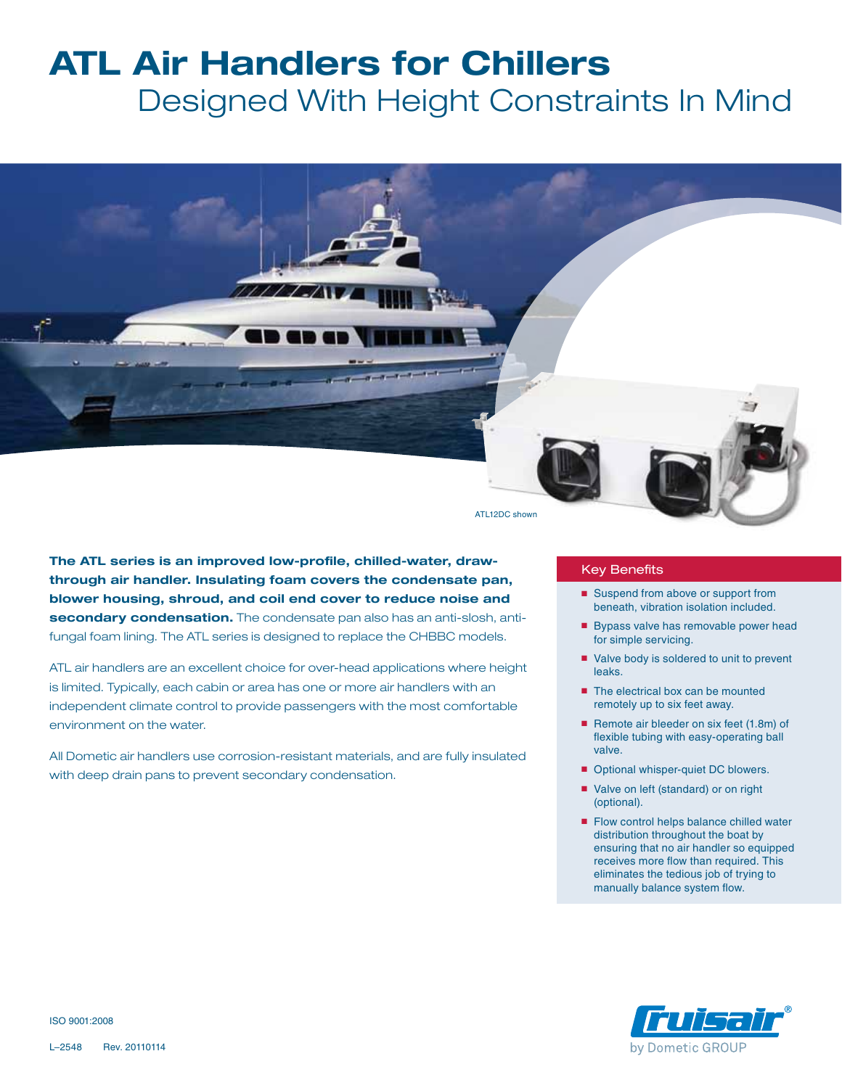## **ATL Air Handlers for Chillers**

 Designed With Height Constraints In Mind



ATL12DC shown

**The ATL series is an improved low-profile, chilled-water, drawthrough air handler. Insulating foam covers the condensate pan, blower housing, shroud, and coil end cover to reduce noise and secondary condensation.** The condensate pan also has an anti-slosh, antifungal foam lining. The ATL series is designed to replace the CHBBC models.

ATL air handlers are an excellent choice for over-head applications where height is limited. Typically, each cabin or area has one or more air handlers with an independent climate control to provide passengers with the most comfortable environment on the water.

All Dometic air handlers use corrosion-resistant materials, and are fully insulated with deep drain pans to prevent secondary condensation.

## Key Benefits

- Suspend from above or support from beneath, vibration isolation included.
- Bypass valve has removable power head for simple servicing.
- Valve body is soldered to unit to prevent leaks.
- The electrical box can be mounted remotely up to six feet away.
- Remote air bleeder on six feet (1.8m) of flexible tubing with easy-operating ball valve.
- Optional whisper-quiet DC blowers.
- Valve on left (standard) or on right (optional).
- Flow control helps balance chilled water distribution throughout the boat by ensuring that no air handler so equipped receives more flow than required. This eliminates the tedious job of trying to manually balance system flow.



ISO 9001:2008